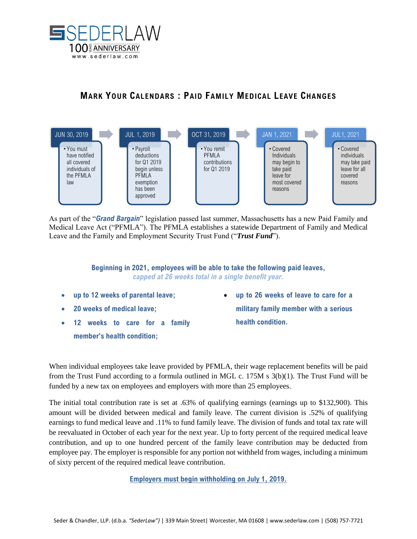

## **MARK YOUR CALENDARS : PAID FAMILY MEDICAL LEAVE CHANGES**



As part of the "*Grand Bargain*" legislation passed last summer, Massachusetts has a new Paid Family and Medical Leave Act ("PFMLA"). The PFMLA establishes a statewide Department of Family and Medical Leave and the Family and Employment Security Trust Fund ("*Trust Fund*").

> **Beginning in 2021, employees will be able to take the following paid leaves,** *capped at 26 weeks total in a single benefit year.*

- **up to 12 weeks of parental leave;**
- **20 weeks of medical leave;**
- **12 weeks to care for a family member's health condition;**
- **up to 26 weeks of leave to care for a military family member with a serious health condition.**

When individual employees take leave provided by PFMLA, their wage replacement benefits will be paid from the Trust Fund according to a formula outlined in MGL c. 175M s 3(b)(1). The Trust Fund will be funded by a new tax on employees and employers with more than 25 employees.

The initial total contribution rate is set at .63% of qualifying earnings (earnings up to \$132,900). This amount will be divided between medical and family leave. The current division is .52% of qualifying earnings to fund medical leave and .11% to fund family leave. The division of funds and total tax rate will be reevaluated in October of each year for the next year. Up to forty percent of the required medical leave contribution, and up to one hundred percent of the family leave contribution may be deducted from employee pay. The employer is responsible for any portion not withheld from wages, including a minimum of sixty percent of the required medical leave contribution.

**Employers must begin withholding on July 1, 2019.**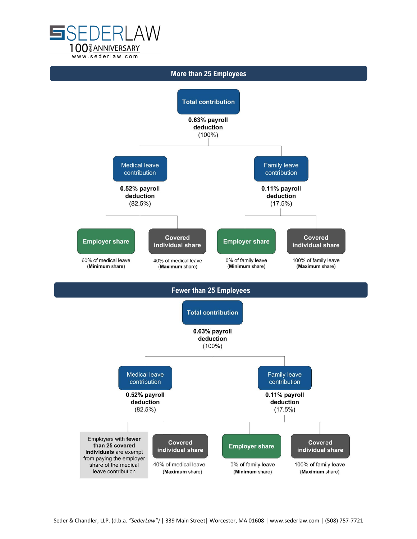